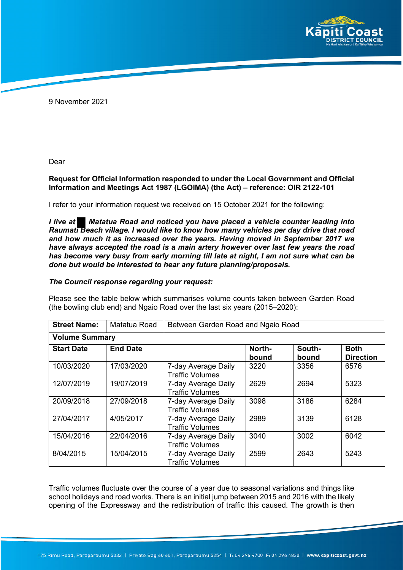

9 November 2021

Dear

## **Request for Official Information responded to under the Local Government and Official Information and Meetings Act 1987 (LGOIMA) (the Act) – reference: OIR 2122-101**

I refer to your information request we received on 15 October 2021 for the following:

*I live at Matatua Road and noticed you have placed a vehicle counter leading into Raumati Beach village. I would like to know how many vehicles per day drive that road and how much it as increased over the years. Having moved in September 2017 we have always accepted the road is a main artery however over last few years the road has become very busy from early morning till late at night, I am not sure what can be done but would be interested to hear any future planning/proposals.*

## *The Council response regarding your request:*

Please see the table below which summarises volume counts taken between Garden Road (the bowling club end) and Ngaio Road over the last six years (2015–2020):

| <b>Street Name:</b>   | Matatua Road    | Between Garden Road and Ngaio Road            |                 |                 |                                 |
|-----------------------|-----------------|-----------------------------------------------|-----------------|-----------------|---------------------------------|
| <b>Volume Summary</b> |                 |                                               |                 |                 |                                 |
| <b>Start Date</b>     | <b>End Date</b> |                                               | North-<br>bound | South-<br>bound | <b>Both</b><br><b>Direction</b> |
| 10/03/2020            | 17/03/2020      | 7-day Average Daily<br><b>Traffic Volumes</b> | 3220            | 3356            | 6576                            |
| 12/07/2019            | 19/07/2019      | 7-day Average Daily<br><b>Traffic Volumes</b> | 2629            | 2694            | 5323                            |
| 20/09/2018            | 27/09/2018      | 7-day Average Daily<br><b>Traffic Volumes</b> | 3098            | 3186            | 6284                            |
| 27/04/2017            | 4/05/2017       | 7-day Average Daily<br><b>Traffic Volumes</b> | 2989            | 3139            | 6128                            |
| 15/04/2016            | 22/04/2016      | 7-day Average Daily<br><b>Traffic Volumes</b> | 3040            | 3002            | 6042                            |
| 8/04/2015             | 15/04/2015      | 7-day Average Daily<br><b>Traffic Volumes</b> | 2599            | 2643            | 5243                            |

Traffic volumes fluctuate over the course of a year due to seasonal variations and things like school holidays and road works. There is an initial jump between 2015 and 2016 with the likely opening of the Expressway and the redistribution of traffic this caused. The growth is then